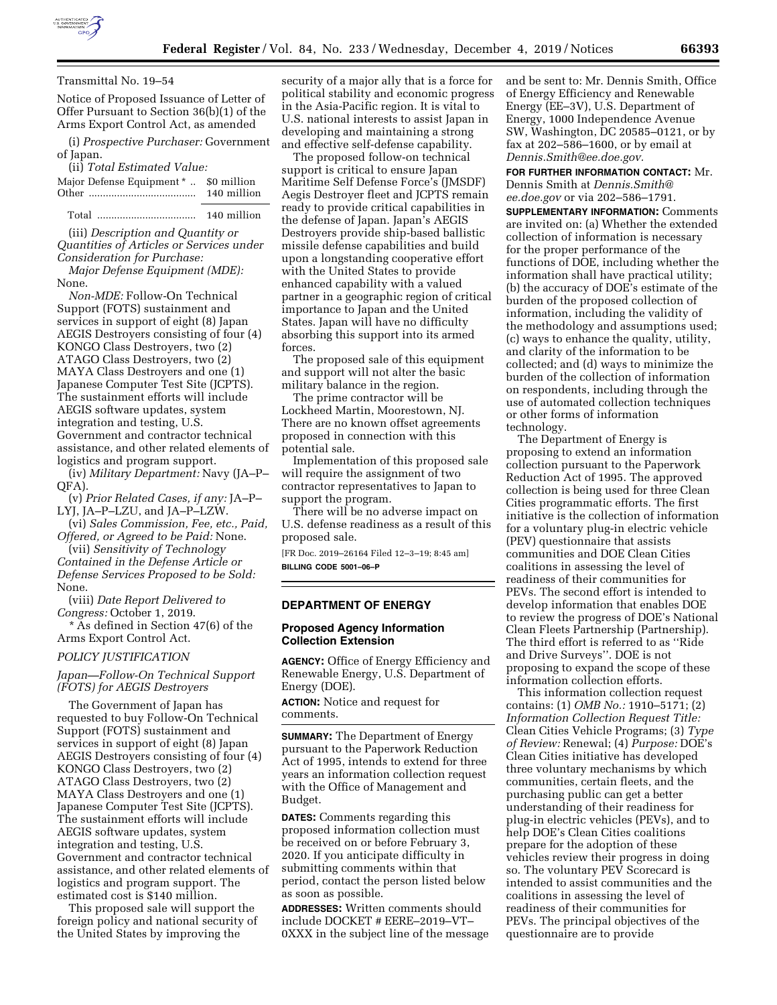

### Transmittal No. 19–54

Notice of Proposed Issuance of Letter of Offer Pursuant to Section 36(b)(1) of the Arms Export Control Act, as amended

(i) *Prospective Purchaser:* Government of Japan.

(ii) *Total Estimated Value:* 

| Major Defense Equipment *  \$0 million |             |
|----------------------------------------|-------------|
|                                        | 140 million |
|                                        |             |

Total ................................... 140 million

(iii) *Description and Quantity or Quantities of Articles or Services under Consideration for Purchase:* 

*Major Defense Equipment (MDE):*  None.

*Non-MDE:* Follow-On Technical Support (FOTS) sustainment and services in support of eight (8) Japan AEGIS Destroyers consisting of four (4) KONGO Class Destroyers, two (2) ATAGO Class Destroyers, two (2) MAYA Class Destroyers and one (1) Japanese Computer Test Site (JCPTS). The sustainment efforts will include AEGIS software updates, system integration and testing, U.S. Government and contractor technical assistance, and other related elements of logistics and program support.

(iv) *Military Department:* Navy (JA–P–  $OFA$ ).

(v) *Prior Related Cases, if any:* JA–P– LYJ, JA–P–LZU, and JA–P–LZW.

(vi) *Sales Commission, Fee, etc., Paid, Offered, or Agreed to be Paid:* None.

(vii) *Sensitivity of Technology Contained in the Defense Article or Defense Services Proposed to be Sold:*  None.

(viii) *Date Report Delivered to Congress:* October 1, 2019.

\* As defined in Section 47(6) of the Arms Export Control Act.

### *POLICY JUSTIFICATION*

*Japan—Follow-On Technical Support (FOTS) for AEGIS Destroyers* 

The Government of Japan has requested to buy Follow-On Technical Support (FOTS) sustainment and services in support of eight (8) Japan AEGIS Destroyers consisting of four (4) KONGO Class Destroyers, two (2) ATAGO Class Destroyers, two (2) MAYA Class Destroyers and one (1) Japanese Computer Test Site (JCPTS). The sustainment efforts will include AEGIS software updates, system integration and testing, U.S. Government and contractor technical assistance, and other related elements of logistics and program support. The estimated cost is \$140 million.

This proposed sale will support the foreign policy and national security of the United States by improving the

security of a major ally that is a force for political stability and economic progress in the Asia-Pacific region. It is vital to U.S. national interests to assist Japan in developing and maintaining a strong and effective self-defense capability.

The proposed follow-on technical support is critical to ensure Japan Maritime Self Defense Force's (JMSDF) Aegis Destroyer fleet and JCPTS remain ready to provide critical capabilities in the defense of Japan. Japan's AEGIS Destroyers provide ship-based ballistic missile defense capabilities and build upon a longstanding cooperative effort with the United States to provide enhanced capability with a valued partner in a geographic region of critical importance to Japan and the United States. Japan will have no difficulty absorbing this support into its armed forces.

The proposed sale of this equipment and support will not alter the basic military balance in the region.

The prime contractor will be Lockheed Martin, Moorestown, NJ. There are no known offset agreements proposed in connection with this potential sale.

Implementation of this proposed sale will require the assignment of two contractor representatives to Japan to support the program.

There will be no adverse impact on U.S. defense readiness as a result of this proposed sale.

[FR Doc. 2019–26164 Filed 12–3–19; 8:45 am] **BILLING CODE 5001–06–P** 

# **DEPARTMENT OF ENERGY**

# **Proposed Agency Information Collection Extension**

**AGENCY:** Office of Energy Efficiency and Renewable Energy, U.S. Department of Energy (DOE).

**ACTION:** Notice and request for comments.

**SUMMARY:** The Department of Energy pursuant to the Paperwork Reduction Act of 1995, intends to extend for three years an information collection request with the Office of Management and Budget.

**DATES:** Comments regarding this proposed information collection must be received on or before February 3, 2020. If you anticipate difficulty in submitting comments within that period, contact the person listed below as soon as possible.

**ADDRESSES:** Written comments should include DOCKET # EERE–2019–VT– 0XXX in the subject line of the message and be sent to: Mr. Dennis Smith, Office of Energy Efficiency and Renewable Energy (EE–3V), U.S. Department of Energy, 1000 Independence Avenue SW, Washington, DC 20585–0121, or by fax at 202–586–1600, or by email at *[Dennis.Smith@ee.doe.gov.](mailto:Dennis.Smith@ee.doe.gov)* 

**FOR FURTHER INFORMATION CONTACT:** Mr. Dennis Smith at *[Dennis.Smith@](mailto:Dennis.Smith@ee.doe.gov) [ee.doe.gov](mailto:Dennis.Smith@ee.doe.gov)* or via 202–586–1791.

**SUPPLEMENTARY INFORMATION:** Comments are invited on: (a) Whether the extended collection of information is necessary for the proper performance of the functions of DOE, including whether the information shall have practical utility; (b) the accuracy of DOE's estimate of the burden of the proposed collection of information, including the validity of the methodology and assumptions used; (c) ways to enhance the quality, utility, and clarity of the information to be collected; and (d) ways to minimize the burden of the collection of information on respondents, including through the use of automated collection techniques or other forms of information technology.

The Department of Energy is proposing to extend an information collection pursuant to the Paperwork Reduction Act of 1995. The approved collection is being used for three Clean Cities programmatic efforts. The first initiative is the collection of information for a voluntary plug-in electric vehicle (PEV) questionnaire that assists communities and DOE Clean Cities coalitions in assessing the level of readiness of their communities for PEVs. The second effort is intended to develop information that enables DOE to review the progress of DOE's National Clean Fleets Partnership (Partnership). The third effort is referred to as ''Ride and Drive Surveys''. DOE is not proposing to expand the scope of these information collection efforts.

This information collection request contains: (1) *OMB No.:* 1910–5171; (2) *Information Collection Request Title:*  Clean Cities Vehicle Programs; (3) *Type of Review:* Renewal; (4) *Purpose:* DOE's Clean Cities initiative has developed three voluntary mechanisms by which communities, certain fleets, and the purchasing public can get a better understanding of their readiness for plug-in electric vehicles (PEVs), and to help DOE's Clean Cities coalitions prepare for the adoption of these vehicles review their progress in doing so. The voluntary PEV Scorecard is intended to assist communities and the coalitions in assessing the level of readiness of their communities for PEVs. The principal objectives of the questionnaire are to provide